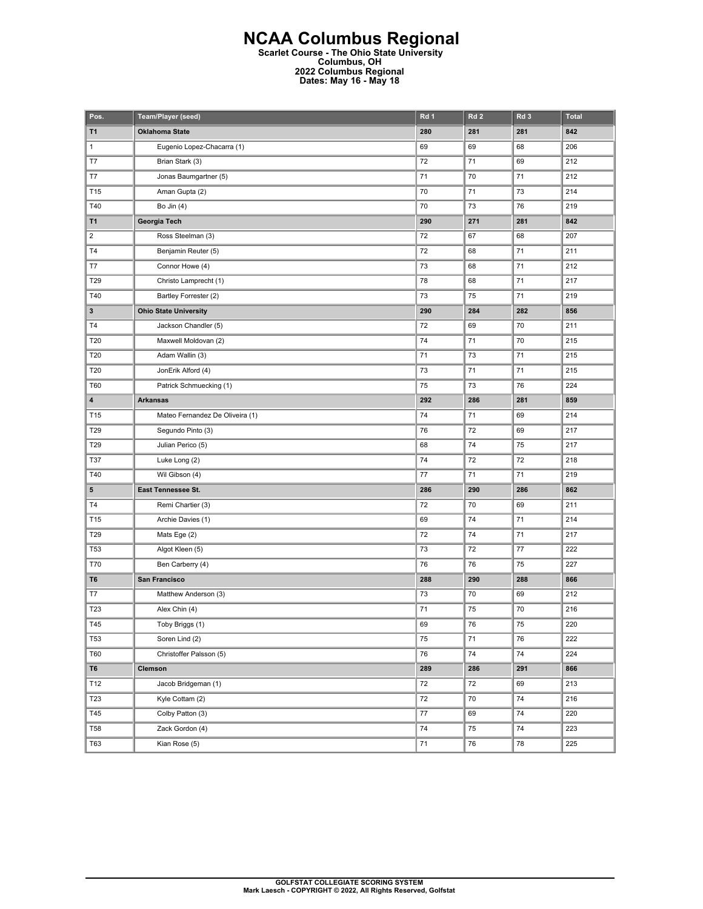## **NCAA Columbus Regional Scarlet Course - The Ohio State University Columbus, OH 2022 Columbus Regional Dates: May 16 - May 18**

| Pos.           | Team/Player (seed)              | Rd 1 | Rd <sub>2</sub> | Rd <sub>3</sub> | <b>Total</b> |
|----------------|---------------------------------|------|-----------------|-----------------|--------------|
| T <sub>1</sub> | <b>Oklahoma State</b>           | 280  | 281             | 281             | 842          |
| $\mathbf{1}$   | Eugenio Lopez-Chacarra (1)      | 69   | 69              | 68              | 206          |
| T7             | Brian Stark (3)                 | 72   | 71              | 69              | 212          |
| T7             | Jonas Baumgartner (5)           | 71   | 70              | 71              | 212          |
| T15            | Aman Gupta (2)                  | 70   | 71              | 73              | 214          |
| T40            | Bo Jin $(4)$                    | 70   | 73              | 76              | 219          |
| T <sub>1</sub> | Georgia Tech                    | 290  | 271             | 281             | 842          |
| $\overline{c}$ | Ross Steelman (3)               | 72   | 67              | 68              | 207          |
| T <sub>4</sub> | Benjamin Reuter (5)             | 72   | 68              | 71              | 211          |
| T7             | Connor Howe (4)                 | 73   | 68              | 71              | 212          |
| T29            | Christo Lamprecht (1)           | 78   | 68              | 71              | 217          |
| T40            | Bartley Forrester (2)           | 73   | 75              | 71              | 219          |
| $\mathbf{3}$   | <b>Ohio State University</b>    | 290  | 284             | 282             | 856          |
| T <sub>4</sub> | Jackson Chandler (5)            | 72   | 69              | 70              | 211          |
| T20            | Maxwell Moldovan (2)            | 74   | 71              | 70              | 215          |
| T20            | Adam Wallin (3)                 | 71   | 73              | 71              | 215          |
| T20            | JonErik Alford (4)              | 73   | 71              | 71              | 215          |
| T60            | Patrick Schmuecking (1)         | 75   | 73              | 76              | 224          |
| 4              | <b>Arkansas</b>                 | 292  | 286             | 281             | 859          |
| T15            | Mateo Fernandez De Oliveira (1) | 74   | 71              | 69              | 214          |
| T29            | Segundo Pinto (3)               | 76   | 72              | 69              | 217          |
| T29            | Julian Perico (5)               | 68   | 74              | 75              | 217          |
| <b>T37</b>     | Luke Long (2)                   | 74   | 72              | 72              | 218          |
| T40            | Wil Gibson (4)                  | 77   | 71              | 71              | 219          |
| 5              | East Tennessee St.              | 286  | 290             | 286             | 862          |
| T <sub>4</sub> | Remi Chartier (3)               | 72   | 70              | 69              | 211          |
| T15            | Archie Davies (1)               | 69   | 74              | 71              | 214          |
| T29            | Mats Ege (2)                    | 72   | 74              | 71              | 217          |
| <b>T53</b>     | Algot Kleen (5)                 | 73   | 72              | 77              | 222          |
| T70            | Ben Carberry (4)                | 76   | 76              | 75              | 227          |
| T6             | San Francisco                   | 288  | 290             | 288             | 866          |
| T7             | Matthew Anderson (3)            | 73   | 70              | 69              | 212          |
| T23            | Alex Chin (4)                   | 71   | 75              | 70              | 216          |
| T45            | Toby Briggs (1)                 | 69   | 76              | 75              | 220          |
| <b>T53</b>     | Soren Lind (2)                  | 75   | 71              | 76              | 222          |
| T60            | Christoffer Palsson (5)         | 76   | 74              | 74              | 224          |
| T <sub>6</sub> | Clemson                         | 289  | 286             | 291             | 866          |
| T12            | Jacob Bridgeman (1)             | 72   | 72              | 69              | 213          |
| T23            | Kyle Cottam (2)                 | 72   | 70              | 74              | 216          |
| T45            | Colby Patton (3)                | 77   | 69              | 74              | 220          |
| <b>T58</b>     | Zack Gordon (4)                 | 74   | 75              | 74              | 223          |
| T63            | Kian Rose (5)                   | 71   | 76              | 78              | 225          |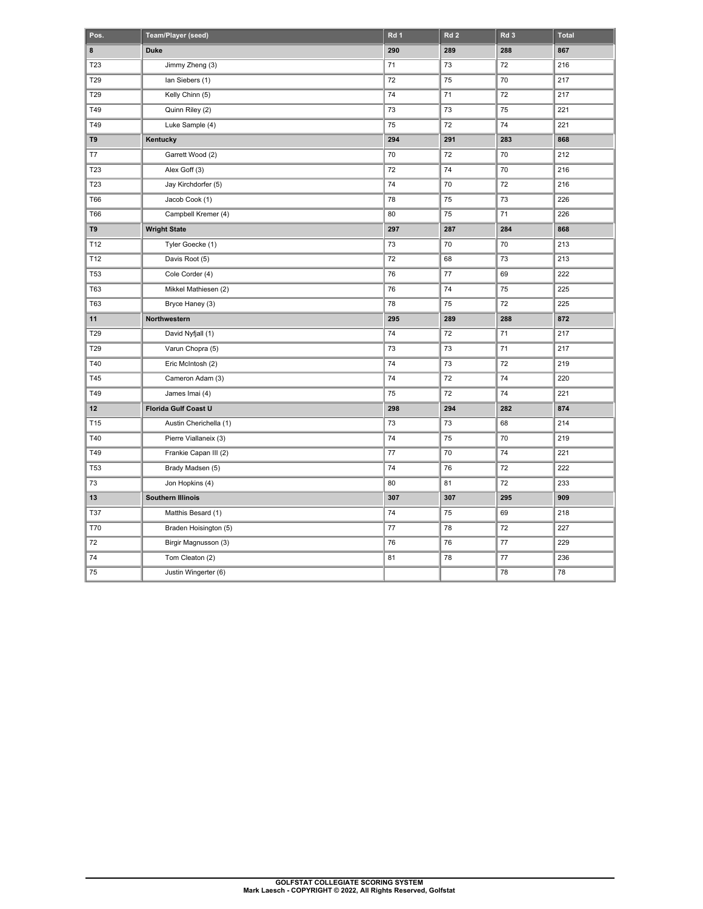| Pos.            | Team/Player (seed)       | Rd 1 | Rd <sub>2</sub> | Rd <sub>3</sub> | <b>Total</b> |
|-----------------|--------------------------|------|-----------------|-----------------|--------------|
| 8               | <b>Duke</b>              | 290  | 289             | 288             | 867          |
| T23             | Jimmy Zheng (3)          | 71   | 73              | 72              | 216          |
| T29             | lan Siebers (1)          | 72   | 75              | 70              | 217          |
| T29             | Kelly Chinn (5)          | 74   | 71              | 72              | 217          |
| T49             | Quinn Riley (2)          | 73   | 73              | 75              | 221          |
| T49             | Luke Sample (4)          | 75   | 72              | 74              | 221          |
| T9              | Kentucky                 | 294  | 291             | 283             | 868          |
| T7              | Garrett Wood (2)         | 70   | 72              | 70              | 212          |
| T23             | Alex Goff (3)            | 72   | 74              | 70              | 216          |
| T23             | Jay Kirchdorfer (5)      | 74   | 70              | 72              | 216          |
| <b>T66</b>      | Jacob Cook (1)           | 78   | 75              | 73              | 226          |
| <b>T66</b>      | Campbell Kremer (4)      | 80   | 75              | 71              | 226          |
| T9              | <b>Wright State</b>      | 297  | 287             | 284             | 868          |
| T12             | Tyler Goecke (1)         | 73   | 70              | 70              | 213          |
| T12             | Davis Root (5)           | 72   | 68              | 73              | 213          |
| T53             | Cole Corder (4)          | 76   | 77              | 69              | 222          |
| T63             | Mikkel Mathiesen (2)     | 76   | 74              | 75              | 225          |
| T63             | Bryce Haney (3)          | 78   | 75              | 72              | 225          |
| 11              | Northwestern             | 295  | 289             | 288             | 872          |
| T29             | David Nyfjall (1)        | 74   | 72              | 71              | 217          |
| T29             | Varun Chopra (5)         | 73   | 73              | 71              | 217          |
| T40             | Eric McIntosh (2)        | 74   | 73              | 72              | 219          |
| T45             | Cameron Adam (3)         | 74   | 72              | 74              | 220          |
| T49             | James Imai (4)           | 75   | 72              | 74              | 221          |
| 12              | Florida Gulf Coast U     | 298  | 294             | 282             | 874          |
| T <sub>15</sub> | Austin Cherichella (1)   | 73   | 73              | 68              | 214          |
| T40             | Pierre Viallaneix (3)    | 74   | 75              | 70              | 219          |
| T49             | Frankie Capan III (2)    | 77   | 70              | 74              | 221          |
| <b>T53</b>      | Brady Madsen (5)         | 74   | 76              | 72              | 222          |
| 73              | Jon Hopkins (4)          | 80   | 81              | 72              | 233          |
| 13              | <b>Southern Illinois</b> | 307  | 307             | 295             | 909          |
| T37             | Matthis Besard (1)       | 74   | 75              | 69              | 218          |
| <b>T70</b>      | Braden Hoisington (5)    | 77   | 78              | 72              | 227          |
| 72              | Birgir Magnusson (3)     | 76   | 76              | 77              | 229          |
| 74              | Tom Cleaton (2)          | 81   | 78              | 77              | 236          |
| 75              | Justin Wingerter (6)     |      |                 | 78              | 78           |